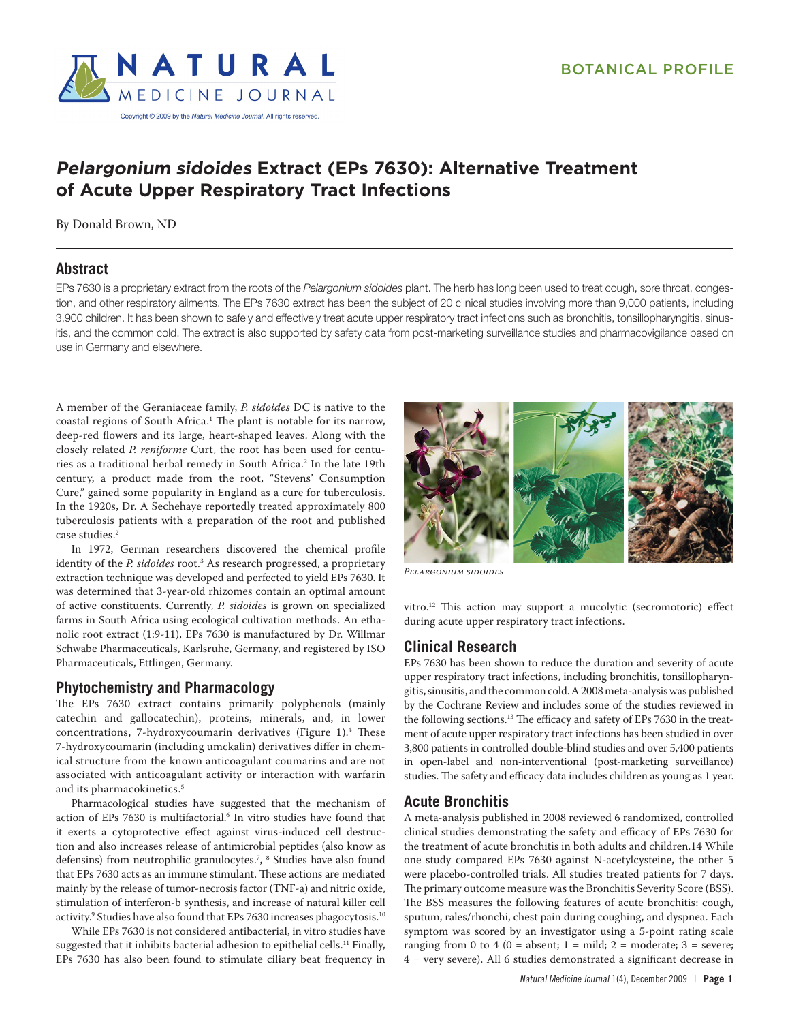# **Pelargonium sidoides Extract (EPs 7630): Alternative Treatment of Acute Upper Respiratory Tract Infections**

By Donald Brown, ND

### **Abstract**

EPs 7630 is a proprietary extract from the roots of the *Pelargonium sidoides* plant. The herb has long been used to treat cough, sore throat, congestion, and other respiratory ailments. The EPs 7630 extract has been the subject of 20 clinical studies involving more than 9,000 patients, including 3,900 children. It has been shown to safely and effectively treat acute upper respiratory tract infections such as bronchitis, tonsillopharyngitis, sinusitis, and the common cold. The extract is also supported by safety data from post-marketing surveillance studies and pharmacovigilance based on use in Germany and elsewhere.

A member of the Geraniaceae family, *P. sidoides* DC is native to the coastal regions of South Africa.1 The plant is notable for its narrow, deep-red flowers and its large, heart-shaped leaves. Along with the closely related *P. reniforme* Curt, the root has been used for centuries as a traditional herbal remedy in South Africa.2 In the late 19th century, a product made from the root, "Stevens' Consumption Cure," gained some popularity in England as a cure for tuberculosis. In the 1920s, Dr. A Sechehaye reportedly treated approximately 800 tuberculosis patients with a preparation of the root and published case studies.2

In 1972, German researchers discovered the chemical profile identity of the *P. sidoides* root.3 As research progressed, a proprietary extraction technique was developed and perfected to yield EPs 7630. It was determined that 3-year-old rhizomes contain an optimal amount of active constituents. Currently, *P. sidoides* is grown on specialized farms in South Africa using ecological cultivation methods. An ethanolic root extract (1:9-11), EPs 7630 is manufactured by Dr. Willmar Schwabe Pharmaceuticals, Karlsruhe, Germany, and registered by ISO Pharmaceuticals, Ettlingen, Germany.

### **Phytochemistry and Pharmacology**

The EPs 7630 extract contains primarily polyphenols (mainly catechin and gallocatechin), proteins, minerals, and, in lower concentrations, 7-hydroxycoumarin derivatives (Figure 1).4 These 7-hydroxycoumarin (including umckalin) derivatives differ in chemical structure from the known anticoagulant coumarins and are not associated with anticoagulant activity or interaction with warfarin and its pharmacokinetics.<sup>5</sup>

Pharmacological studies have suggested that the mechanism of action of EPs 7630 is multifactorial.<sup>6</sup> In vitro studies have found that it exerts a cytoprotective effect against virus-induced cell destruction and also increases release of antimicrobial peptides (also know as defensins) from neutrophilic granulocytes.7 , 8 Studies have also found that EPs 7630 acts as an immune stimulant. These actions are mediated mainly by the release of tumor-necrosis factor (TNF-a) and nitric oxide, stimulation of interferon-b synthesis, and increase of natural killer cell activity.9 Studies have also found that EPs 7630 increases phagocytosis.10

While EPs 7630 is not considered antibacterial, in vitro studies have suggested that it inhibits bacterial adhesion to epithelial cells.<sup>11</sup> Finally, EPs 7630 has also been found to stimulate ciliary beat frequency in



*Pelargonium sidoides*

vitro.12 This action may support a mucolytic (secromotoric) effect during acute upper respiratory tract infections.

## **Clinical Research**

EPs 7630 has been shown to reduce the duration and severity of acute upper respiratory tract infections, including bronchitis, tonsillopharyngitis, sinusitis, and the common cold. A 2008 meta-analysis was published by the Cochrane Review and includes some of the studies reviewed in the following sections.<sup>13</sup> The efficacy and safety of EPs 7630 in the treatment of acute upper respiratory tract infections has been studied in over 3,800 patients in controlled double-blind studies and over 5,400 patients in open-label and non-interventional (post-marketing surveillance) studies. The safety and efficacy data includes children as young as 1 year.

## **Acute Bronchitis**

A meta-analysis published in 2008 reviewed 6 randomized, controlled clinical studies demonstrating the safety and efficacy of EPs 7630 for the treatment of acute bronchitis in both adults and children.14 While one study compared EPs 7630 against N-acetylcysteine, the other 5 were placebo-controlled trials. All studies treated patients for 7 days. The primary outcome measure was the Bronchitis Severity Score (BSS). The BSS measures the following features of acute bronchitis: cough, sputum, rales/rhonchi, chest pain during coughing, and dyspnea. Each symptom was scored by an investigator using a 5-point rating scale ranging from 0 to 4 (0 = absent;  $1 = \text{mild}$ ;  $2 = \text{moderate}$ ;  $3 = \text{severe}$ ; 4 = very severe). All 6 studies demonstrated a significant decrease in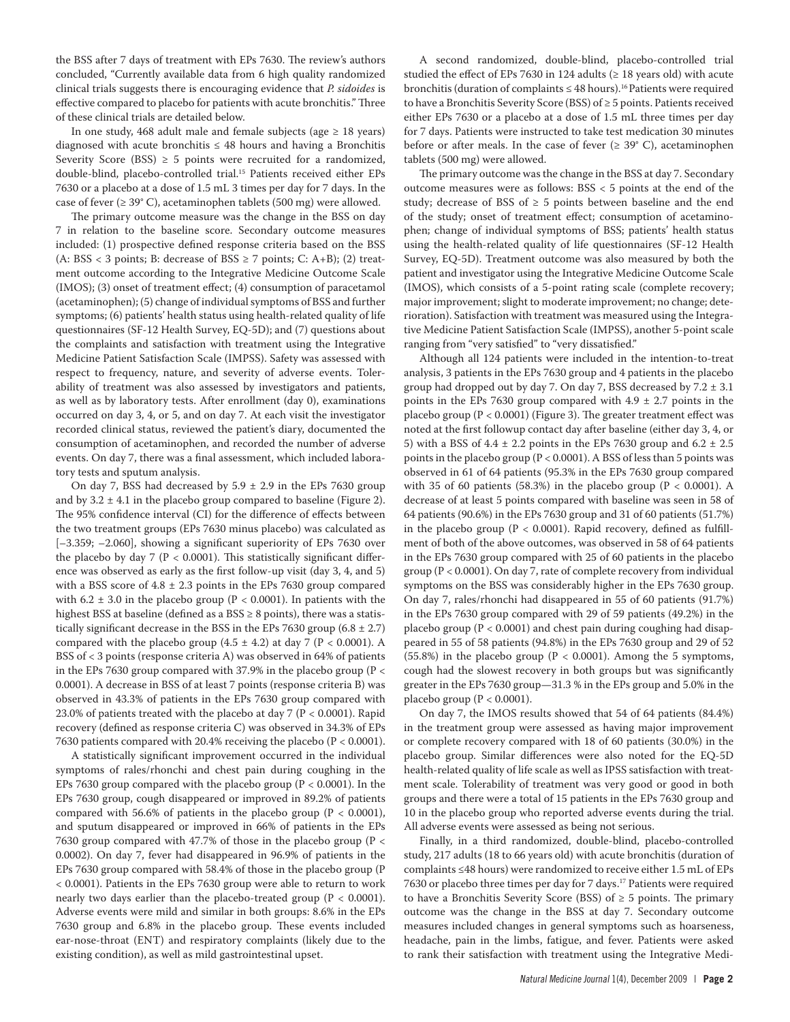the BSS after 7 days of treatment with EPs 7630. The review's authors concluded, "Currently available data from 6 high quality randomized clinical trials suggests there is encouraging evidence that *P. sidoides* is effective compared to placebo for patients with acute bronchitis." Three of these clinical trials are detailed below.

In one study, 468 adult male and female subjects (age  $\geq$  18 years) diagnosed with acute bronchitis  $\leq 48$  hours and having a Bronchitis Severity Score (BSS)  $\geq$  5 points were recruited for a randomized, double-blind, placebo-controlled trial.15 Patients received either EPs 7630 or a placebo at a dose of 1.5 mL 3 times per day for 7 days. In the case of fever ( $\geq 39^{\circ}$  C), acetaminophen tablets (500 mg) were allowed.

The primary outcome measure was the change in the BSS on day 7 in relation to the baseline score. Secondary outcome measures included: (1) prospective defined response criteria based on the BSS (A: BSS < 3 points; B: decrease of BSS  $\geq$  7 points; C: A+B); (2) treatment outcome according to the Integrative Medicine Outcome Scale (IMOS); (3) onset of treatment effect; (4) consumption of paracetamol (acetaminophen); (5) change of individual symptoms of BSS and further symptoms; (6) patients' health status using health-related quality of life questionnaires (SF-12 Health Survey, EQ-5D); and (7) questions about the complaints and satisfaction with treatment using the Integrative Medicine Patient Satisfaction Scale (IMPSS). Safety was assessed with respect to frequency, nature, and severity of adverse events. Tolerability of treatment was also assessed by investigators and patients, as well as by laboratory tests. After enrollment (day 0), examinations occurred on day 3, 4, or 5, and on day 7. At each visit the investigator recorded clinical status, reviewed the patient's diary, documented the consumption of acetaminophen, and recorded the number of adverse events. On day 7, there was a final assessment, which included laboratory tests and sputum analysis.

On day 7, BSS had decreased by  $5.9 \pm 2.9$  in the EPs 7630 group and by  $3.2 \pm 4.1$  in the placebo group compared to baseline (Figure 2). The 95% confidence interval (CI) for the difference of effects between the two treatment groups (EPs 7630 minus placebo) was calculated as [–3.359; –2.060], showing a significant superiority of EPs 7630 over the placebo by day 7 ( $P < 0.0001$ ). This statistically significant difference was observed as early as the first follow-up visit (day 3, 4, and 5) with a BSS score of  $4.8 \pm 2.3$  points in the EPs 7630 group compared with 6.2  $\pm$  3.0 in the placebo group (P < 0.0001). In patients with the highest BSS at baseline (defined as a BSS  $\geq$  8 points), there was a statistically significant decrease in the BSS in the EPs 7630 group  $(6.8 \pm 2.7)$ compared with the placebo group  $(4.5 \pm 4.2)$  at day 7 (P < 0.0001). A BSS of < 3 points (response criteria A) was observed in 64% of patients in the EPs 7630 group compared with 37.9% in the placebo group (P < 0.0001). A decrease in BSS of at least 7 points (response criteria B) was observed in 43.3% of patients in the EPs 7630 group compared with 23.0% of patients treated with the placebo at day 7 (P < 0.0001). Rapid recovery (defined as response criteria C) was observed in 34.3% of EPs 7630 patients compared with 20.4% receiving the placebo (P < 0.0001).

A statistically significant improvement occurred in the individual symptoms of rales/rhonchi and chest pain during coughing in the EPs 7630 group compared with the placebo group ( $P < 0.0001$ ). In the EPs 7630 group, cough disappeared or improved in 89.2% of patients compared with 56.6% of patients in the placebo group ( $P < 0.0001$ ), and sputum disappeared or improved in 66% of patients in the EPs 7630 group compared with 47.7% of those in the placebo group (P < 0.0002). On day 7, fever had disappeared in 96.9% of patients in the EPs 7630 group compared with 58.4% of those in the placebo group (P < 0.0001). Patients in the EPs 7630 group were able to return to work nearly two days earlier than the placebo-treated group (P < 0.0001). Adverse events were mild and similar in both groups: 8.6% in the EPs 7630 group and 6.8% in the placebo group. These events included ear-nose-throat (ENT) and respiratory complaints (likely due to the existing condition), as well as mild gastrointestinal upset.

A second randomized, double-blind, placebo-controlled trial studied the effect of EPs 7630 in 124 adults ( $\geq$  18 years old) with acute bronchitis (duration of complaints  $\leq 48$  hours).<sup>16</sup> Patients were required to have a Bronchitis Severity Score (BSS) of ≥ 5 points. Patients received either EPs 7630 or a placebo at a dose of 1.5 mL three times per day for 7 days. Patients were instructed to take test medication 30 minutes before or after meals. In the case of fever  $(\geq 39^{\circ} \text{ C})$ , acetaminophen tablets (500 mg) were allowed.

The primary outcome was the change in the BSS at day 7. Secondary outcome measures were as follows: BSS < 5 points at the end of the study; decrease of BSS of  $\geq$  5 points between baseline and the end of the study; onset of treatment effect; consumption of acetaminophen; change of individual symptoms of BSS; patients' health status using the health-related quality of life questionnaires (SF-12 Health Survey, EQ-5D). Treatment outcome was also measured by both the patient and investigator using the Integrative Medicine Outcome Scale (IMOS), which consists of a 5-point rating scale (complete recovery; major improvement; slight to moderate improvement; no change; deterioration). Satisfaction with treatment was measured using the Integrative Medicine Patient Satisfaction Scale (IMPSS), another 5-point scale ranging from "very satisfied" to "very dissatisfied."

Although all 124 patients were included in the intention-to-treat analysis, 3 patients in the EPs 7630 group and 4 patients in the placebo group had dropped out by day 7. On day 7, BSS decreased by  $7.2 \pm 3.1$ points in the EPs 7630 group compared with  $4.9 \pm 2.7$  points in the placebo group (P < 0.0001) (Figure 3). The greater treatment effect was noted at the first followup contact day after baseline (either day 3, 4, or 5) with a BSS of  $4.4 \pm 2.2$  points in the EPs 7630 group and  $6.2 \pm 2.5$ points in the placebo group (P < 0.0001). A BSS of less than 5 points was observed in 61 of 64 patients (95.3% in the EPs 7630 group compared with 35 of 60 patients (58.3%) in the placebo group ( $P < 0.0001$ ). A decrease of at least 5 points compared with baseline was seen in 58 of 64 patients (90.6%) in the EPs 7630 group and 31 of 60 patients (51.7%) in the placebo group ( $P < 0.0001$ ). Rapid recovery, defined as fulfillment of both of the above outcomes, was observed in 58 of 64 patients in the EPs 7630 group compared with 25 of 60 patients in the placebo group (P < 0.0001). On day 7, rate of complete recovery from individual symptoms on the BSS was considerably higher in the EPs 7630 group. On day 7, rales/rhonchi had disappeared in 55 of 60 patients (91.7%) in the EPs 7630 group compared with 29 of 59 patients (49.2%) in the placebo group (P < 0.0001) and chest pain during coughing had disappeared in 55 of 58 patients (94.8%) in the EPs 7630 group and 29 of 52 (55.8%) in the placebo group ( $P < 0.0001$ ). Among the 5 symptoms, cough had the slowest recovery in both groups but was significantly greater in the EPs 7630 group—31.3 % in the EPs group and 5.0% in the placebo group ( $P < 0.0001$ ).

On day 7, the IMOS results showed that 54 of 64 patients (84.4%) in the treatment group were assessed as having major improvement or complete recovery compared with 18 of 60 patients (30.0%) in the placebo group. Similar differences were also noted for the EQ-5D health-related quality of life scale as well as IPSS satisfaction with treatment scale. Tolerability of treatment was very good or good in both groups and there were a total of 15 patients in the EPs 7630 group and 10 in the placebo group who reported adverse events during the trial. All adverse events were assessed as being not serious.

Finally, in a third randomized, double-blind, placebo-controlled study, 217 adults (18 to 66 years old) with acute bronchitis (duration of complaints ≤48 hours) were randomized to receive either 1.5 mL of EPs 7630 or placebo three times per day for 7 days.17 Patients were required to have a Bronchitis Severity Score (BSS) of  $\geq$  5 points. The primary outcome was the change in the BSS at day 7. Secondary outcome measures included changes in general symptoms such as hoarseness, headache, pain in the limbs, fatigue, and fever. Patients were asked to rank their satisfaction with treatment using the Integrative Medi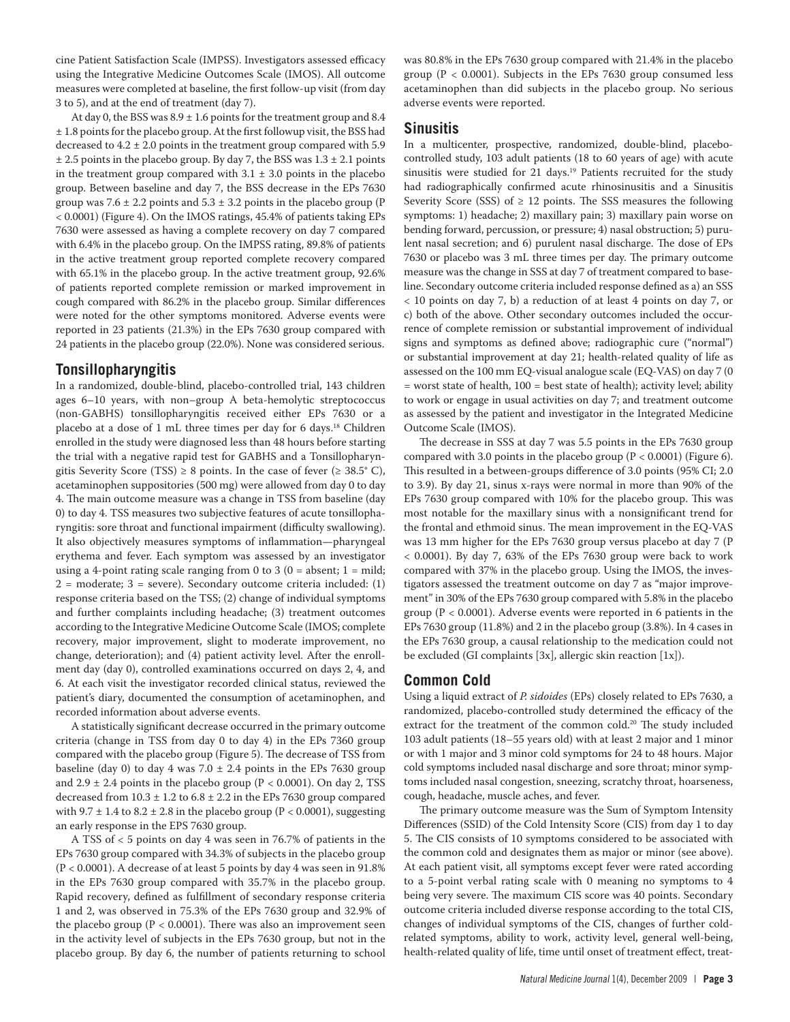cine Patient Satisfaction Scale (IMPSS). Investigators assessed efficacy using the Integrative Medicine Outcomes Scale (IMOS). All outcome measures were completed at baseline, the first follow-up visit (from day 3 to 5), and at the end of treatment (day 7).

At day 0, the BSS was  $8.9 \pm 1.6$  points for the treatment group and 8.4 ± 1.8 points for the placebo group. At the first followup visit, the BSS had decreased to  $4.2 \pm 2.0$  points in the treatment group compared with 5.9  $\pm$  2.5 points in the placebo group. By day 7, the BSS was  $1.3 \pm 2.1$  points in the treatment group compared with  $3.1 \pm 3.0$  points in the placebo group. Between baseline and day 7, the BSS decrease in the EPs 7630 group was 7.6  $\pm$  2.2 points and 5.3  $\pm$  3.2 points in the placebo group (P < 0.0001) (Figure 4). On the IMOS ratings, 45.4% of patients taking EPs 7630 were assessed as having a complete recovery on day 7 compared with 6.4% in the placebo group. On the IMPSS rating, 89.8% of patients in the active treatment group reported complete recovery compared with 65.1% in the placebo group. In the active treatment group, 92.6% of patients reported complete remission or marked improvement in cough compared with 86.2% in the placebo group. Similar differences were noted for the other symptoms monitored. Adverse events were reported in 23 patients (21.3%) in the EPs 7630 group compared with 24 patients in the placebo group (22.0%). None was considered serious.

### **Tonsillopharyngitis**

In a randomized, double-blind, placebo-controlled trial, 143 children ages 6–10 years, with non–group A beta-hemolytic streptococcus (non-GABHS) tonsillopharyngitis received either EPs 7630 or a placebo at a dose of 1 mL three times per day for 6 days.18 Children enrolled in the study were diagnosed less than 48 hours before starting the trial with a negative rapid test for GABHS and a Tonsillopharyngitis Severity Score (TSS)  $\geq$  8 points. In the case of fever ( $\geq$  38.5° C), acetaminophen suppositories (500 mg) were allowed from day 0 to day 4. The main outcome measure was a change in TSS from baseline (day 0) to day 4. TSS measures two subjective features of acute tonsillopharyngitis: sore throat and functional impairment (difficulty swallowing). It also objectively measures symptoms of inflammation—pharyngeal erythema and fever. Each symptom was assessed by an investigator using a 4-point rating scale ranging from 0 to 3 ( $0 =$  absent;  $1 =$  mild; 2 = moderate; 3 = severe). Secondary outcome criteria included: (1) response criteria based on the TSS; (2) change of individual symptoms and further complaints including headache; (3) treatment outcomes according to the Integrative Medicine Outcome Scale (IMOS; complete recovery, major improvement, slight to moderate improvement, no change, deterioration); and (4) patient activity level. After the enrollment day (day 0), controlled examinations occurred on days 2, 4, and 6. At each visit the investigator recorded clinical status, reviewed the patient's diary, documented the consumption of acetaminophen, and recorded information about adverse events.

A statistically significant decrease occurred in the primary outcome criteria (change in TSS from day 0 to day 4) in the EPs 7360 group compared with the placebo group (Figure 5). The decrease of TSS from baseline (day 0) to day 4 was  $7.0 \pm 2.4$  points in the EPs 7630 group and  $2.9 \pm 2.4$  points in the placebo group (P < 0.0001). On day 2, TSS decreased from  $10.3 \pm 1.2$  to  $6.8 \pm 2.2$  in the EPs 7630 group compared with 9.7  $\pm$  1.4 to 8.2  $\pm$  2.8 in the placebo group (P < 0.0001), suggesting an early response in the EPS 7630 group.

A TSS of < 5 points on day 4 was seen in 76.7% of patients in the EPs 7630 group compared with 34.3% of subjects in the placebo group (P < 0.0001). A decrease of at least 5 points by day 4 was seen in 91.8% in the EPs 7630 group compared with 35.7% in the placebo group. Rapid recovery, defined as fulfillment of secondary response criteria 1 and 2, was observed in 75.3% of the EPs 7630 group and 32.9% of the placebo group ( $P < 0.0001$ ). There was also an improvement seen in the activity level of subjects in the EPs 7630 group, but not in the placebo group. By day 6, the number of patients returning to school was 80.8% in the EPs 7630 group compared with 21.4% in the placebo group ( $P < 0.0001$ ). Subjects in the EPs 7630 group consumed less acetaminophen than did subjects in the placebo group. No serious adverse events were reported.

#### **Sinusitis**

In a multicenter, prospective, randomized, double-blind, placebocontrolled study, 103 adult patients (18 to 60 years of age) with acute sinusitis were studied for 21 days.<sup>19</sup> Patients recruited for the study had radiographically confirmed acute rhinosinusitis and a Sinusitis Severity Score (SSS) of  $\geq$  12 points. The SSS measures the following symptoms: 1) headache; 2) maxillary pain; 3) maxillary pain worse on bending forward, percussion, or pressure; 4) nasal obstruction; 5) purulent nasal secretion; and 6) purulent nasal discharge. The dose of EPs 7630 or placebo was 3 mL three times per day. The primary outcome measure was the change in SSS at day 7 of treatment compared to baseline. Secondary outcome criteria included response defined as a) an SSS < 10 points on day 7, b) a reduction of at least 4 points on day 7, or c) both of the above. Other secondary outcomes included the occurrence of complete remission or substantial improvement of individual signs and symptoms as defined above; radiographic cure ("normal") or substantial improvement at day 21; health-related quality of life as assessed on the 100 mm EQ-visual analogue scale (EQ-VAS) on day 7 (0 = worst state of health, 100 = best state of health); activity level; ability to work or engage in usual activities on day 7; and treatment outcome as assessed by the patient and investigator in the Integrated Medicine Outcome Scale (IMOS).

The decrease in SSS at day 7 was 5.5 points in the EPs 7630 group compared with 3.0 points in the placebo group (P < 0.0001) (Figure 6). This resulted in a between-groups difference of 3.0 points (95% CI; 2.0 to 3.9). By day 21, sinus x-rays were normal in more than 90% of the EPs 7630 group compared with 10% for the placebo group. This was most notable for the maxillary sinus with a nonsignificant trend for the frontal and ethmoid sinus. The mean improvement in the EQ-VAS was 13 mm higher for the EPs 7630 group versus placebo at day 7 (P < 0.0001). By day 7, 63% of the EPs 7630 group were back to work compared with 37% in the placebo group. Using the IMOS, the investigators assessed the treatment outcome on day 7 as "major improvement" in 30% of the EPs 7630 group compared with 5.8% in the placebo group (P < 0.0001). Adverse events were reported in 6 patients in the EPs 7630 group (11.8%) and 2 in the placebo group (3.8%). In 4 cases in the EPs 7630 group, a causal relationship to the medication could not be excluded (GI complaints [3x], allergic skin reaction [1x]).

#### **Common Cold**

Using a liquid extract of *P. sidoides* (EPs) closely related to EPs 7630, a randomized, placebo-controlled study determined the efficacy of the extract for the treatment of the common cold.<sup>20</sup> The study included 103 adult patients (18–55 years old) with at least 2 major and 1 minor or with 1 major and 3 minor cold symptoms for 24 to 48 hours. Major cold symptoms included nasal discharge and sore throat; minor symptoms included nasal congestion, sneezing, scratchy throat, hoarseness, cough, headache, muscle aches, and fever.

The primary outcome measure was the Sum of Symptom Intensity Differences (SSID) of the Cold Intensity Score (CIS) from day 1 to day 5. The CIS consists of 10 symptoms considered to be associated with the common cold and designates them as major or minor (see above). At each patient visit, all symptoms except fever were rated according to a 5-point verbal rating scale with 0 meaning no symptoms to 4 being very severe. The maximum CIS score was 40 points. Secondary outcome criteria included diverse response according to the total CIS, changes of individual symptoms of the CIS, changes of further coldrelated symptoms, ability to work, activity level, general well-being, health-related quality of life, time until onset of treatment effect, treat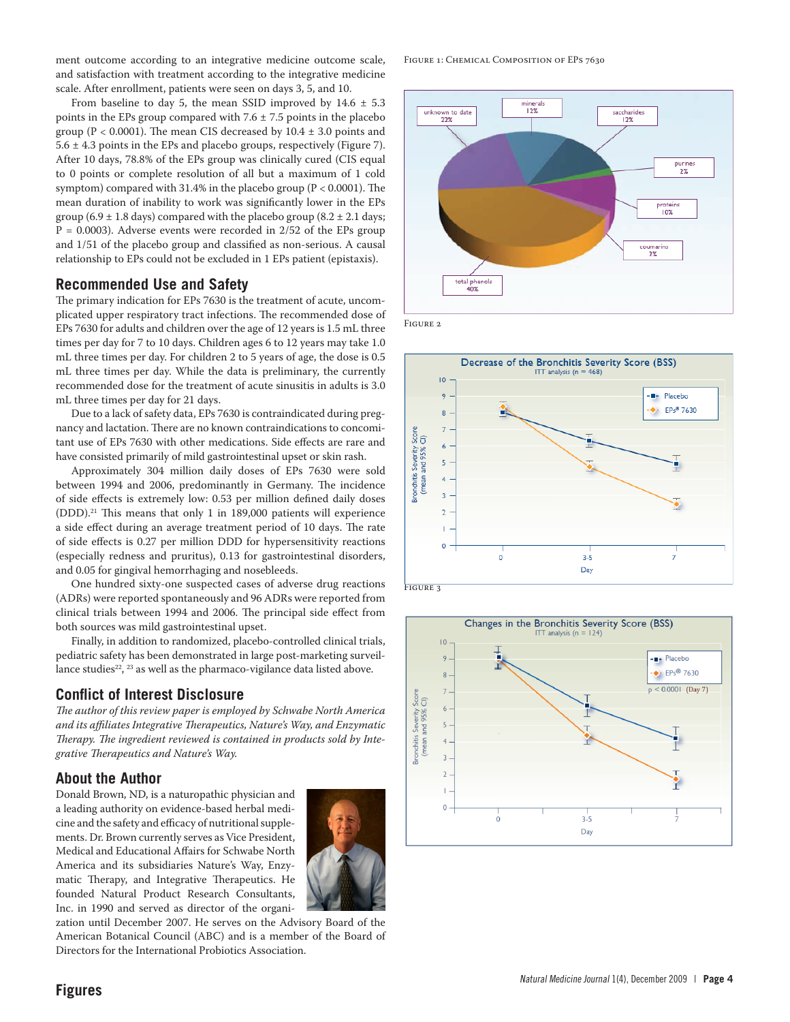ment outcome according to an integrative medicine outcome scale, and satisfaction with treatment according to the integrative medicine scale. After enrollment, patients were seen on days 3, 5, and 10.

From baseline to day 5, the mean SSID improved by  $14.6 \pm 5.3$ points in the EPs group compared with  $7.6 \pm 7.5$  points in the placebo group ( $P < 0.0001$ ). The mean CIS decreased by  $10.4 \pm 3.0$  points and  $5.6 \pm 4.3$  points in the EPs and placebo groups, respectively (Figure 7). After 10 days, 78.8% of the EPs group was clinically cured (CIS equal to 0 points or complete resolution of all but a maximum of 1 cold symptom) compared with 31.4% in the placebo group (P < 0.0001). The mean duration of inability to work was significantly lower in the EPs group (6.9  $\pm$  1.8 days) compared with the placebo group (8.2  $\pm$  2.1 days;  $P = 0.0003$ ). Adverse events were recorded in 2/52 of the EPs group and 1/51 of the placebo group and classified as non-serious. A causal relationship to EPs could not be excluded in 1 EPs patient (epistaxis).

## **Recommended Use and Safety**

The primary indication for EPs 7630 is the treatment of acute, uncomplicated upper respiratory tract infections. The recommended dose of EPs 7630 for adults and children over the age of 12 years is 1.5 mL three times per day for 7 to 10 days. Children ages 6 to 12 years may take 1.0 mL three times per day. For children 2 to 5 years of age, the dose is 0.5 mL three times per day. While the data is preliminary, the currently recommended dose for the treatment of acute sinusitis in adults is 3.0 mL three times per day for 21 days.

Due to a lack of safety data, EPs 7630 is contraindicated during pregnancy and lactation. There are no known contraindications to concomitant use of EPs 7630 with other medications. Side effects are rare and have consisted primarily of mild gastrointestinal upset or skin rash.

Approximately 304 million daily doses of EPs 7630 were sold between 1994 and 2006, predominantly in Germany. The incidence of side effects is extremely low: 0.53 per million defined daily doses (DDD).21 This means that only 1 in 189,000 patients will experience a side effect during an average treatment period of 10 days. The rate of side effects is 0.27 per million DDD for hypersensitivity reactions (especially redness and pruritus), 0.13 for gastrointestinal disorders, and 0.05 for gingival hemorrhaging and nosebleeds.

One hundred sixty-one suspected cases of adverse drug reactions (ADRs) were reported spontaneously and 96 ADRs were reported from clinical trials between 1994 and 2006. The principal side effect from both sources was mild gastrointestinal upset.

Finally, in addition to randomized, placebo-controlled clinical trials, pediatric safety has been demonstrated in large post-marketing surveillance studies<sup>22</sup>, <sup>23</sup> as well as the pharmaco-vigilance data listed above.

## **Conflict of Interest Disclosure**

*The author of this review paper is employed by Schwabe North America and its affiliates Integrative Therapeutics, Nature's Way, and Enzymatic Therapy. The ingredient reviewed is contained in products sold by Integrative Therapeutics and Nature's Way.*

## **About the Author**

Donald Brown, ND, is a naturopathic physician and a leading authority on evidence-based herbal medicine and the safety and efficacy of nutritional supplements. Dr. Brown currently serves as Vice President, Medical and Educational Affairs for Schwabe North America and its subsidiaries Nature's Way, Enzymatic Therapy, and Integrative Therapeutics. He founded Natural Product Research Consultants, Inc. in 1990 and served as director of the organi-



zation until December 2007. He serves on the Advisory Board of the American Botanical Council (ABC) and is a member of the Board of Directors for the International Probiotics Association.

FIGURE 1: CHEMICAL COMPOSITION OF EPS 7630



Figure 2





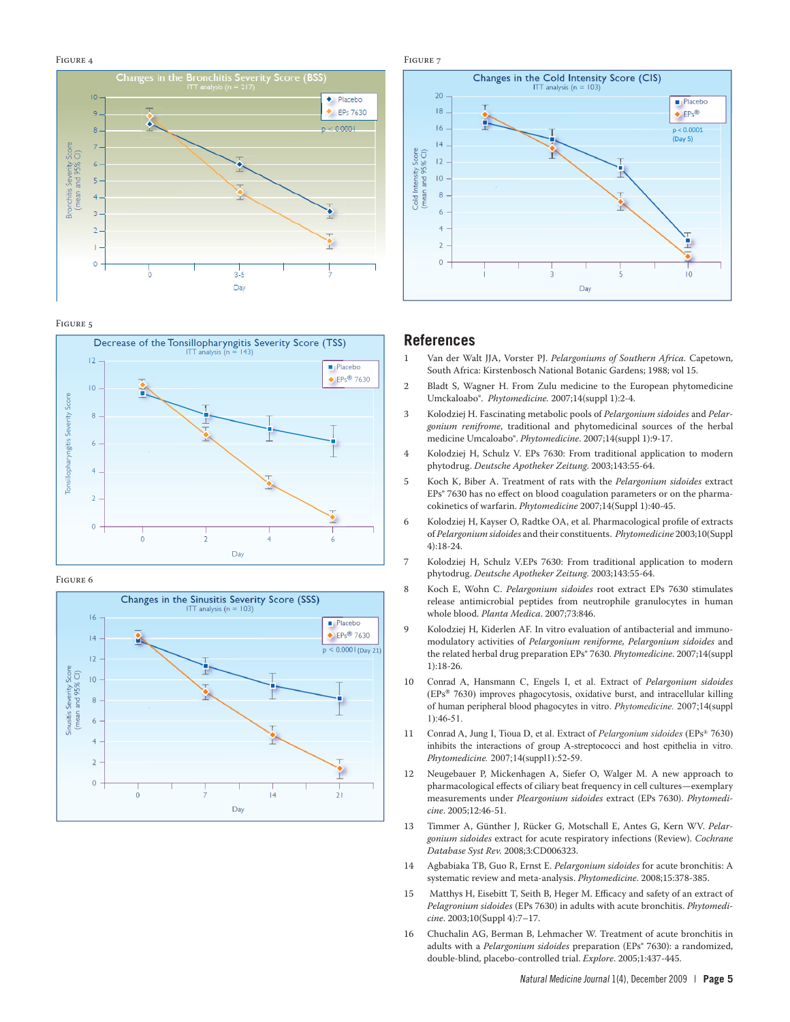#### Figure 4



#### Figure 5



#### Figure 6



Figure 7 Changes in the Cold Intensity Score (CIS)  $20$  $Placebo$  $|8$  $\triangle$  EPs®  $16$  $p < 0.0001$  $(Day 5)$  $|4$ Cold Intensity Score<br>(mean and 95% CI)  $|2$  $\overline{10}$  $\overline{2}$  $\circ$  $10$ Day

#### **References**

- 1 Van der Walt JJA, Vorster PJ. *Pelargoniums of Southern Africa.* Capetown, South Africa: Kirstenbosch National Botanic Gardens; 1988; vol 15.
- 2 Bladt S, Wagner H. From Zulu medicine to the European phytomedicine Umckaloabo®. *Phytomedicine.* 2007;14(suppl 1):2-4.
- 3 Kolodziej H. Fascinating metabolic pools of *Pelargonium sidoides* and *Pelargonium renifrome*, traditional and phytomedicinal sources of the herbal medicine Umcaloabo®. *Phytomedicine*. 2007;14(suppl 1):9-17.
- 4 Kolodziej H, Schulz V. EPs 7630: From traditional application to modern phytodrug. *Deutsche Apotheker Zeitung*. 2003;143:55-64.
- 5 Koch K, Biber A. Treatment of rats with the *Pelargonium sidoides* extract EPs<sup>®</sup> 7630 has no effect on blood coagulation parameters or on the pharmacokinetics of warfarin. *Phytomedicine* 2007;14(Suppl 1):40-45.
- 6 Kolodziej H, Kayser O, Radtke OA, et al. Pharmacological profile of extracts of *Pelargonium sidoides* and their constituents. *Phytomedicine* 2003;10(Suppl 4):18-24.
- 7 Kolodziej H, Schulz V.EPs 7630: From traditional application to modern phytodrug. *Deutsche Apotheker Zeitung*. 2003;143:55-64.
- 8 Koch E, Wohn C. *Pelargonium sidoides* root extract EPs 7630 stimulates release antimicrobial peptides from neutrophile granulocytes in human whole blood. *Planta Medica*. 2007;73:846.
- 9 Kolodziej H, Kiderlen AF. In vitro evaluation of antibacterial and immunomodulatory activities of *Pelargonium reniforme, Pelargonium sidoides* and the related herbal drug preparation EPs® 7630. *Phytomedicine*. 2007;14(suppl 1):18-26.
- 10 Conrad A, Hansmann C, Engels I, et al. Extract of *Pelargonium sidoides*  (EPs® 7630) improves phagocytosis, oxidative burst, and intracellular killing of human peripheral blood phagocytes in vitro. *Phytomedicine.* 2007;14(suppl 1):46-51.
- 11 Conrad A, Jung I, Tioua D, et al. Extract of *Pelargonium sidoides* (EPs® 7630) inhibits the interactions of group A-streptococci and host epithelia in vitro. *Phytomedicine.* 2007;14(suppl1):52-59.
- 12 Neugebauer P, Mickenhagen A, Siefer O, Walger M. A new approach to pharmacological effects of ciliary beat frequency in cell cultures—exemplary measurements under *Pleargonium sidoides* extract (EPs 7630). *Phytomedicine*. 2005;12:46-51.
- 13 Timmer A, Günther J, Rücker G, Motschall E, Antes G, Kern WV. *Pelargonium sidoides* extract for acute respiratory infections (Review). *Cochrane Database Syst Rev.* 2008;3:CD006323.
- 14 Agbabiaka TB, Guo R, Ernst E. *Pelargonium sidoides* for acute bronchitis: A systematic review and meta-analysis. *Phytomedicine*. 2008;15:378-385.
- 15 Matthys H, Eisebitt T, Seith B, Heger M. Efficacy and safety of an extract of *Pelagronium sidoides* (EPs 7630) in adults with acute bronchitis. *Phytomedicine*. 2003;10(Suppl 4):7–17.
- 16 Chuchalin AG, Berman B, Lehmacher W. Treatment of acute bronchitis in adults with a *Pelargonium sidoides* preparation (EPs® 7630): a randomized, double-blind, placebo-controlled trial. *Explore*. 2005;1:437-445.